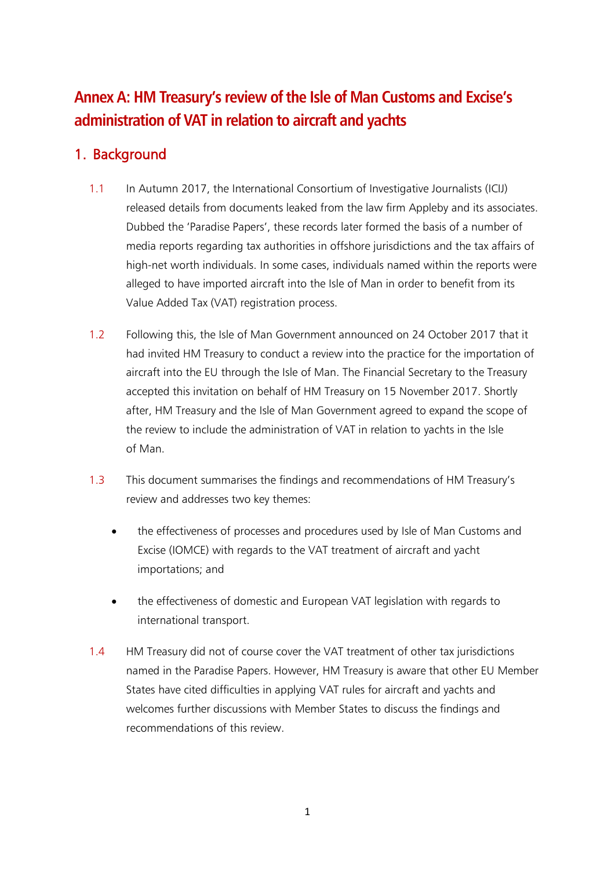# **Annex A: HM Treasury's review of the Isle of Man Customs and Excise's administration of VAT in relation to aircraft and yachts**

# 1. Background

- 1.1 In Autumn 2017, the International Consortium of Investigative Journalists (ICIJ) released details from documents leaked from the law firm Appleby and its associates. Dubbed the 'Paradise Papers', these records later formed the basis of a number of media reports regarding tax authorities in offshore jurisdictions and the tax affairs of high-net worth individuals. In some cases, individuals named within the reports were alleged to have imported aircraft into the Isle of Man in order to benefit from its Value Added Tax (VAT) registration process.
- 1.2 Following this, the Isle of Man Government announced on 24 October 2017 that it had invited HM Treasury to conduct a review into the practice for the importation of aircraft into the EU through the Isle of Man. The Financial Secretary to the Treasury accepted this invitation on behalf of HM Treasury on 15 November 2017. Shortly after, HM Treasury and the Isle of Man Government agreed to expand the scope of the review to include the administration of VAT in relation to yachts in the Isle of Man.
- 1.3 This document summarises the findings and recommendations of HM Treasury's review and addresses two key themes:
	- the effectiveness of processes and procedures used by Isle of Man Customs and Excise (IOMCE) with regards to the VAT treatment of aircraft and yacht importations; and
	- the effectiveness of domestic and European VAT legislation with regards to international transport.
- 1.4 HM Treasury did not of course cover the VAT treatment of other tax jurisdictions named in the Paradise Papers. However, HM Treasury is aware that other EU Member States have cited difficulties in applying VAT rules for aircraft and yachts and welcomes further discussions with Member States to discuss the findings and recommendations of this review.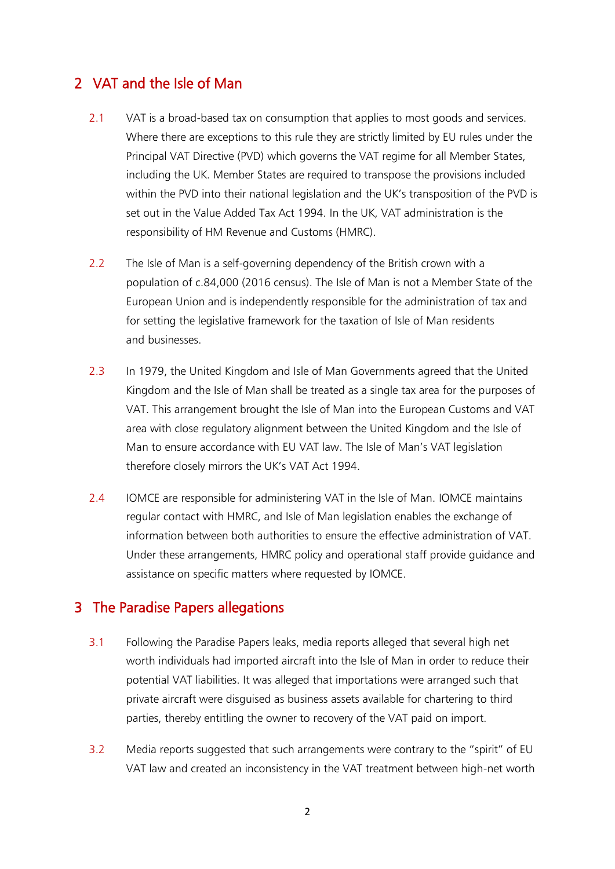## 2 VAT and the Isle of Man

- 2.1 VAT is a broad-based tax on consumption that applies to most goods and services. Where there are exceptions to this rule they are strictly limited by EU rules under the Principal VAT Directive (PVD) which governs the VAT regime for all Member States, including the UK. Member States are required to transpose the provisions included within the PVD into their national legislation and the UK's transposition of the PVD is set out in the Value Added Tax Act 1994. In the UK, VAT administration is the responsibility of HM Revenue and Customs (HMRC).
- 2.2 The Isle of Man is a self-governing dependency of the British crown with a population of c.84,000 (2016 census). The Isle of Man is not a Member State of the European Union and is independently responsible for the administration of tax and for setting the legislative framework for the taxation of Isle of Man residents and businesses.
- 2.3 In 1979, the United Kingdom and Isle of Man Governments agreed that the United Kingdom and the Isle of Man shall be treated as a single tax area for the purposes of VAT. This arrangement brought the Isle of Man into the European Customs and VAT area with close regulatory alignment between the United Kingdom and the Isle of Man to ensure accordance with EU VAT law. The Isle of Man's VAT legislation therefore closely mirrors the UK's VAT Act 1994.
- 2.4 IOMCE are responsible for administering VAT in the Isle of Man. IOMCE maintains regular contact with HMRC, and Isle of Man legislation enables the exchange of information between both authorities to ensure the effective administration of VAT. Under these arrangements, HMRC policy and operational staff provide guidance and assistance on specific matters where requested by IOMCE.

### 3 The Paradise Papers allegations

- 3.1 Following the Paradise Papers leaks, media reports alleged that several high net worth individuals had imported aircraft into the Isle of Man in order to reduce their potential VAT liabilities. It was alleged that importations were arranged such that private aircraft were disguised as business assets available for chartering to third parties, thereby entitling the owner to recovery of the VAT paid on import.
- 3.2 Media reports suggested that such arrangements were contrary to the "spirit" of EU VAT law and created an inconsistency in the VAT treatment between high-net worth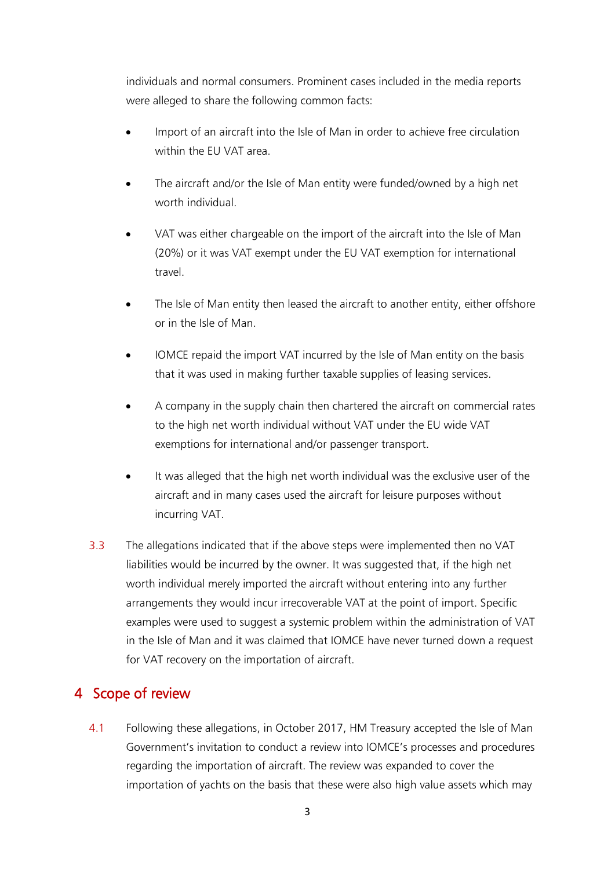individuals and normal consumers. Prominent cases included in the media reports were alleged to share the following common facts:

- Import of an aircraft into the Isle of Man in order to achieve free circulation within the EU VAT area.
- The aircraft and/or the Isle of Man entity were funded/owned by a high net worth individual.
- VAT was either chargeable on the import of the aircraft into the Isle of Man (20%) or it was VAT exempt under the EU VAT exemption for international travel.
- The Isle of Man entity then leased the aircraft to another entity, either offshore or in the Isle of Man.
- IOMCE repaid the import VAT incurred by the Isle of Man entity on the basis that it was used in making further taxable supplies of leasing services.
- A company in the supply chain then chartered the aircraft on commercial rates to the high net worth individual without VAT under the EU wide VAT exemptions for international and/or passenger transport.
- It was alleged that the high net worth individual was the exclusive user of the aircraft and in many cases used the aircraft for leisure purposes without incurring VAT.
- 3.3 The allegations indicated that if the above steps were implemented then no VAT liabilities would be incurred by the owner. It was suggested that, if the high net worth individual merely imported the aircraft without entering into any further arrangements they would incur irrecoverable VAT at the point of import. Specific examples were used to suggest a systemic problem within the administration of VAT in the Isle of Man and it was claimed that IOMCE have never turned down a request for VAT recovery on the importation of aircraft.

# 4 Scope of review

4.1 Following these allegations, in October 2017, HM Treasury accepted the Isle of Man Government's invitation to conduct a review into IOMCE's processes and procedures regarding the importation of aircraft. The review was expanded to cover the importation of yachts on the basis that these were also high value assets which may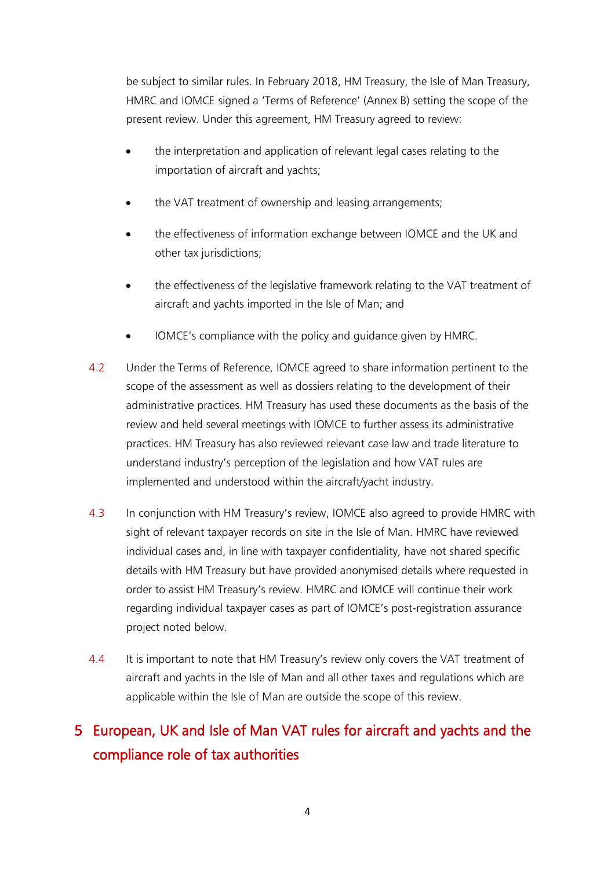be subject to similar rules. In February 2018, HM Treasury, the Isle of Man Treasury, HMRC and IOMCE signed a 'Terms of Reference' (Annex B) setting the scope of the present review. Under this agreement, HM Treasury agreed to review:

- the interpretation and application of relevant legal cases relating to the importation of aircraft and yachts;
- the VAT treatment of ownership and leasing arrangements;
- the effectiveness of information exchange between IOMCE and the UK and other tax jurisdictions;
- the effectiveness of the legislative framework relating to the VAT treatment of aircraft and yachts imported in the Isle of Man; and
- IOMCE's compliance with the policy and guidance given by HMRC.
- 4.2 Under the Terms of Reference, IOMCE agreed to share information pertinent to the scope of the assessment as well as dossiers relating to the development of their administrative practices. HM Treasury has used these documents as the basis of the review and held several meetings with IOMCE to further assess its administrative practices. HM Treasury has also reviewed relevant case law and trade literature to understand industry's perception of the legislation and how VAT rules are implemented and understood within the aircraft/yacht industry.
- 4.3 In conjunction with HM Treasury's review, IOMCE also agreed to provide HMRC with sight of relevant taxpayer records on site in the Isle of Man. HMRC have reviewed individual cases and, in line with taxpayer confidentiality, have not shared specific details with HM Treasury but have provided anonymised details where requested in order to assist HM Treasury's review. HMRC and IOMCE will continue their work regarding individual taxpayer cases as part of IOMCE's post-registration assurance project noted below.
- 4.4 It is important to note that HM Treasury's review only covers the VAT treatment of aircraft and yachts in the Isle of Man and all other taxes and regulations which are applicable within the Isle of Man are outside the scope of this review.

# 5 European, UK and Isle of Man VAT rules for aircraft and yachts and the compliance role of tax authorities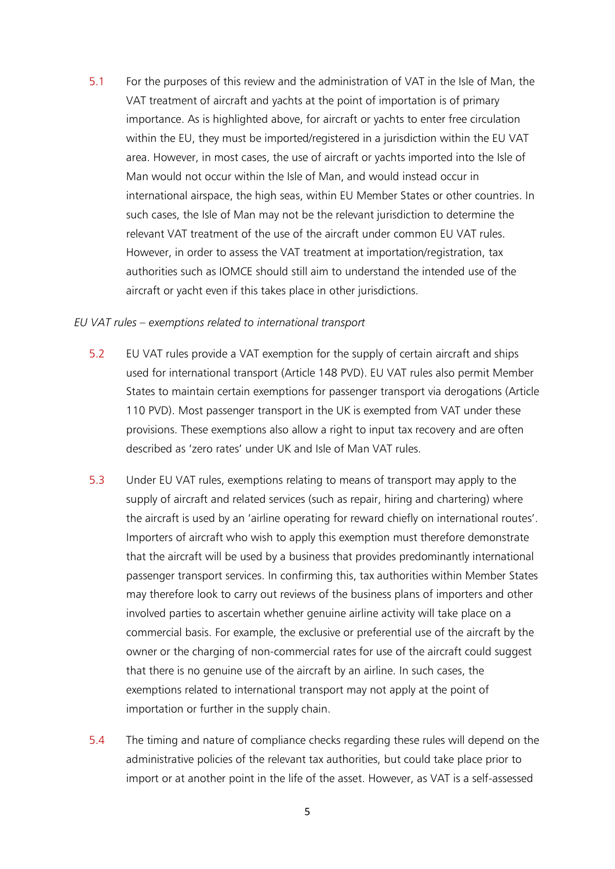5.1 For the purposes of this review and the administration of VAT in the Isle of Man, the VAT treatment of aircraft and yachts at the point of importation is of primary importance. As is highlighted above, for aircraft or yachts to enter free circulation within the EU, they must be imported/registered in a jurisdiction within the EU VAT area. However, in most cases, the use of aircraft or yachts imported into the Isle of Man would not occur within the Isle of Man, and would instead occur in international airspace, the high seas, within EU Member States or other countries. In such cases, the Isle of Man may not be the relevant jurisdiction to determine the relevant VAT treatment of the use of the aircraft under common EU VAT rules. However, in order to assess the VAT treatment at importation/registration, tax authorities such as IOMCE should still aim to understand the intended use of the aircraft or yacht even if this takes place in other jurisdictions.

#### *EU VAT rules – exemptions related to international transport*

- 5.2 EU VAT rules provide a VAT exemption for the supply of certain aircraft and ships used for international transport (Article 148 PVD). EU VAT rules also permit Member States to maintain certain exemptions for passenger transport via derogations (Article 110 PVD). Most passenger transport in the UK is exempted from VAT under these provisions. These exemptions also allow a right to input tax recovery and are often described as 'zero rates' under UK and Isle of Man VAT rules.
- 5.3 Under EU VAT rules, exemptions relating to means of transport may apply to the supply of aircraft and related services (such as repair, hiring and chartering) where the aircraft is used by an 'airline operating for reward chiefly on international routes'. Importers of aircraft who wish to apply this exemption must therefore demonstrate that the aircraft will be used by a business that provides predominantly international passenger transport services. In confirming this, tax authorities within Member States may therefore look to carry out reviews of the business plans of importers and other involved parties to ascertain whether genuine airline activity will take place on a commercial basis. For example, the exclusive or preferential use of the aircraft by the owner or the charging of non-commercial rates for use of the aircraft could suggest that there is no genuine use of the aircraft by an airline. In such cases, the exemptions related to international transport may not apply at the point of importation or further in the supply chain.
- 5.4 The timing and nature of compliance checks regarding these rules will depend on the administrative policies of the relevant tax authorities, but could take place prior to import or at another point in the life of the asset. However, as VAT is a self-assessed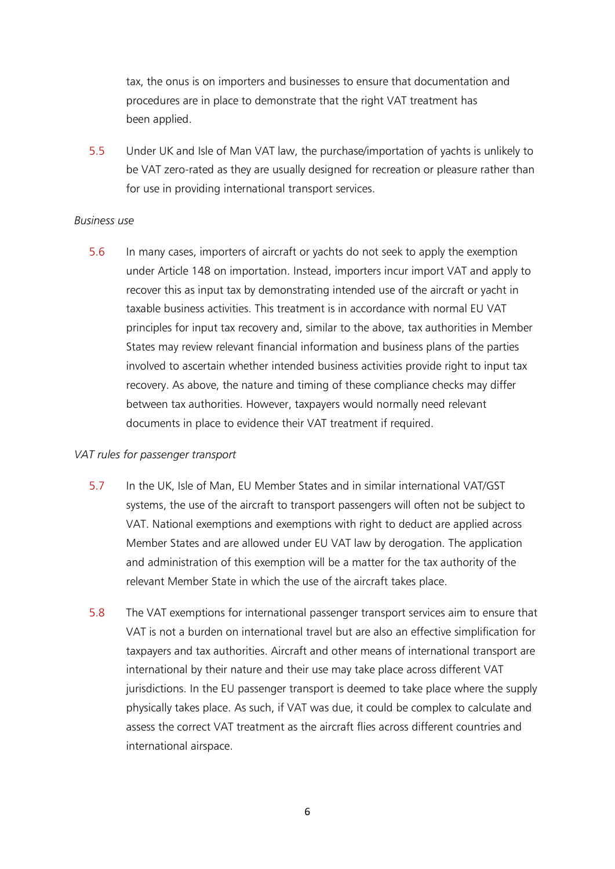tax, the onus is on importers and businesses to ensure that documentation and procedures are in place to demonstrate that the right VAT treatment has been applied.

5.5 Under UK and Isle of Man VAT law, the purchase/importation of yachts is unlikely to be VAT zero-rated as they are usually designed for recreation or pleasure rather than for use in providing international transport services.

#### *Business use*

5.6 In many cases, importers of aircraft or yachts do not seek to apply the exemption under Article 148 on importation. Instead, importers incur import VAT and apply to recover this as input tax by demonstrating intended use of the aircraft or yacht in taxable business activities. This treatment is in accordance with normal EU VAT principles for input tax recovery and, similar to the above, tax authorities in Member States may review relevant financial information and business plans of the parties involved to ascertain whether intended business activities provide right to input tax recovery. As above, the nature and timing of these compliance checks may differ between tax authorities. However, taxpayers would normally need relevant documents in place to evidence their VAT treatment if required.

#### *VAT rules for passenger transport*

- 5.7 In the UK, Isle of Man, EU Member States and in similar international VAT/GST systems, the use of the aircraft to transport passengers will often not be subject to VAT. National exemptions and exemptions with right to deduct are applied across Member States and are allowed under EU VAT law by derogation. The application and administration of this exemption will be a matter for the tax authority of the relevant Member State in which the use of the aircraft takes place.
- 5.8 The VAT exemptions for international passenger transport services aim to ensure that VAT is not a burden on international travel but are also an effective simplification for taxpayers and tax authorities. Aircraft and other means of international transport are international by their nature and their use may take place across different VAT jurisdictions. In the EU passenger transport is deemed to take place where the supply physically takes place. As such, if VAT was due, it could be complex to calculate and assess the correct VAT treatment as the aircraft flies across different countries and international airspace.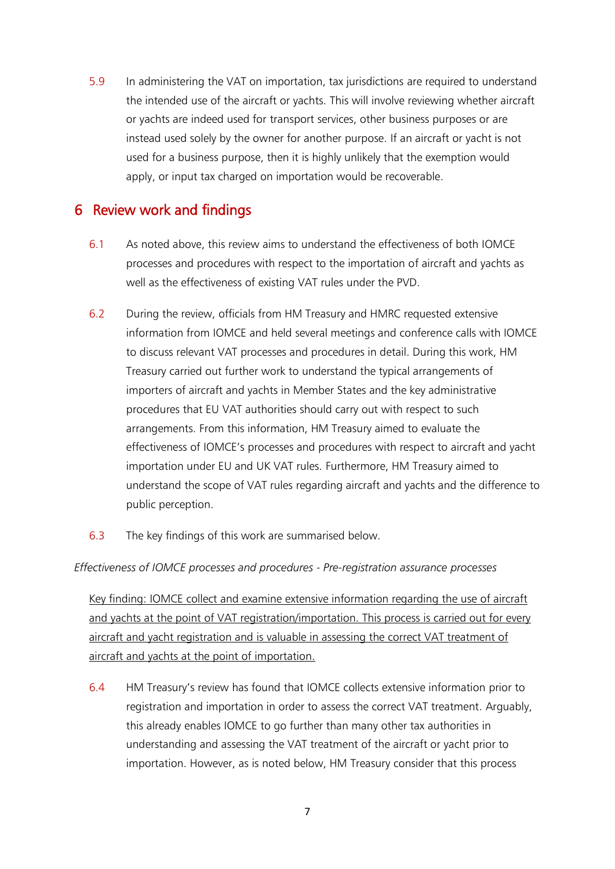5.9 In administering the VAT on importation, tax jurisdictions are required to understand the intended use of the aircraft or yachts. This will involve reviewing whether aircraft or yachts are indeed used for transport services, other business purposes or are instead used solely by the owner for another purpose. If an aircraft or yacht is not used for a business purpose, then it is highly unlikely that the exemption would apply, or input tax charged on importation would be recoverable.

## 6 Review work and findings

- 6.1 As noted above, this review aims to understand the effectiveness of both IOMCE processes and procedures with respect to the importation of aircraft and yachts as well as the effectiveness of existing VAT rules under the PVD.
- 6.2 During the review, officials from HM Treasury and HMRC requested extensive information from IOMCE and held several meetings and conference calls with IOMCE to discuss relevant VAT processes and procedures in detail. During this work, HM Treasury carried out further work to understand the typical arrangements of importers of aircraft and yachts in Member States and the key administrative procedures that EU VAT authorities should carry out with respect to such arrangements. From this information, HM Treasury aimed to evaluate the effectiveness of IOMCE's processes and procedures with respect to aircraft and yacht importation under EU and UK VAT rules. Furthermore, HM Treasury aimed to understand the scope of VAT rules regarding aircraft and yachts and the difference to public perception.
- 6.3 The key findings of this work are summarised below.

### *Effectiveness of IOMCE processes and procedures - Pre-registration assurance processes*

Key finding: IOMCE collect and examine extensive information regarding the use of aircraft and yachts at the point of VAT registration/importation. This process is carried out for every aircraft and yacht registration and is valuable in assessing the correct VAT treatment of aircraft and yachts at the point of importation.

6.4 HM Treasury's review has found that IOMCE collects extensive information prior to registration and importation in order to assess the correct VAT treatment. Arguably, this already enables IOMCE to go further than many other tax authorities in understanding and assessing the VAT treatment of the aircraft or yacht prior to importation. However, as is noted below, HM Treasury consider that this process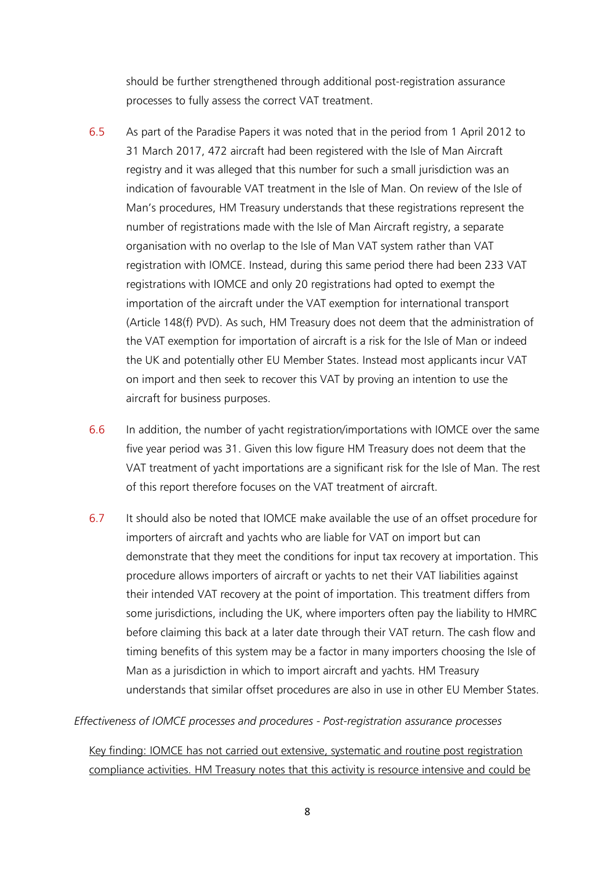should be further strengthened through additional post-registration assurance processes to fully assess the correct VAT treatment.

- 6.5 As part of the Paradise Papers it was noted that in the period from 1 April 2012 to 31 March 2017, 472 aircraft had been registered with the Isle of Man Aircraft registry and it was alleged that this number for such a small jurisdiction was an indication of favourable VAT treatment in the Isle of Man. On review of the Isle of Man's procedures, HM Treasury understands that these registrations represent the number of registrations made with the Isle of Man Aircraft registry, a separate organisation with no overlap to the Isle of Man VAT system rather than VAT registration with IOMCE. Instead, during this same period there had been 233 VAT registrations with IOMCE and only 20 registrations had opted to exempt the importation of the aircraft under the VAT exemption for international transport (Article 148(f) PVD). As such, HM Treasury does not deem that the administration of the VAT exemption for importation of aircraft is a risk for the Isle of Man or indeed the UK and potentially other EU Member States. Instead most applicants incur VAT on import and then seek to recover this VAT by proving an intention to use the aircraft for business purposes.
- 6.6 In addition, the number of yacht registration/importations with IOMCE over the same five year period was 31. Given this low figure HM Treasury does not deem that the VAT treatment of yacht importations are a significant risk for the Isle of Man. The rest of this report therefore focuses on the VAT treatment of aircraft.
- 6.7 It should also be noted that IOMCE make available the use of an offset procedure for importers of aircraft and yachts who are liable for VAT on import but can demonstrate that they meet the conditions for input tax recovery at importation. This procedure allows importers of aircraft or yachts to net their VAT liabilities against their intended VAT recovery at the point of importation. This treatment differs from some jurisdictions, including the UK, where importers often pay the liability to HMRC before claiming this back at a later date through their VAT return. The cash flow and timing benefits of this system may be a factor in many importers choosing the Isle of Man as a jurisdiction in which to import aircraft and yachts. HM Treasury understands that similar offset procedures are also in use in other EU Member States.

*Effectiveness of IOMCE processes and procedures - Post-registration assurance processes*

Key finding: IOMCE has not carried out extensive, systematic and routine post registration compliance activities. HM Treasury notes that this activity is resource intensive and could be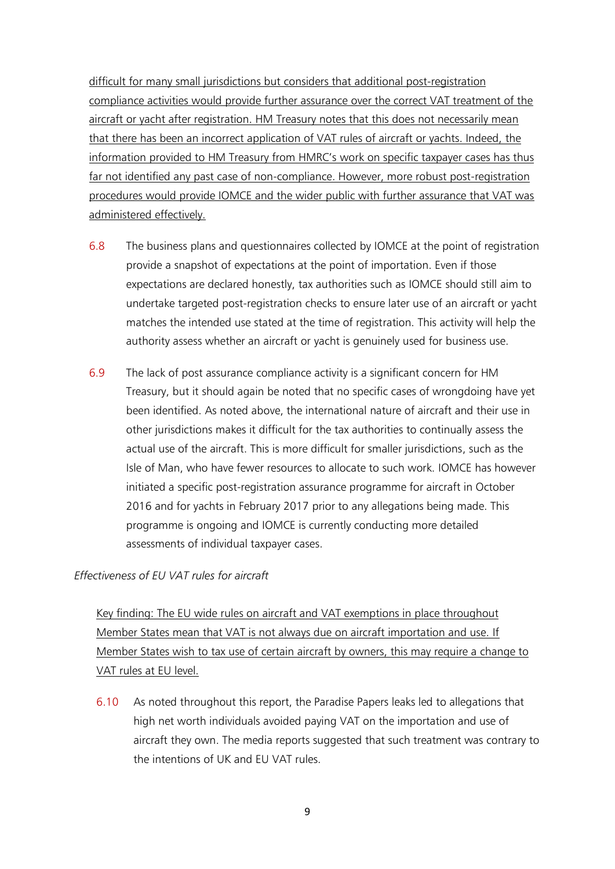difficult for many small jurisdictions but considers that additional post-registration compliance activities would provide further assurance over the correct VAT treatment of the aircraft or vacht after registration. HM Treasury notes that this does not necessarily mean that there has been an incorrect application of VAT rules of aircraft or yachts. Indeed, the information provided to HM Treasury from HMRC's work on specific taxpayer cases has thus far not identified any past case of non-compliance. However, more robust post-registration procedures would provide IOMCE and the wider public with further assurance that VAT was administered effectively.

- 6.8 The business plans and questionnaires collected by IOMCE at the point of registration provide a snapshot of expectations at the point of importation. Even if those expectations are declared honestly, tax authorities such as IOMCE should still aim to undertake targeted post-registration checks to ensure later use of an aircraft or yacht matches the intended use stated at the time of registration. This activity will help the authority assess whether an aircraft or yacht is genuinely used for business use.
- 6.9 The lack of post assurance compliance activity is a significant concern for HM Treasury, but it should again be noted that no specific cases of wrongdoing have yet been identified. As noted above, the international nature of aircraft and their use in other jurisdictions makes it difficult for the tax authorities to continually assess the actual use of the aircraft. This is more difficult for smaller jurisdictions, such as the Isle of Man, who have fewer resources to allocate to such work. IOMCE has however initiated a specific post-registration assurance programme for aircraft in October 2016 and for yachts in February 2017 prior to any allegations being made. This programme is ongoing and IOMCE is currently conducting more detailed assessments of individual taxpayer cases.

#### *Effectiveness of EU VAT rules for aircraft*

Key finding: The EU wide rules on aircraft and VAT exemptions in place throughout Member States mean that VAT is not always due on aircraft importation and use. If Member States wish to tax use of certain aircraft by owners, this may require a change to VAT rules at EU level.

6.10 As noted throughout this report, the Paradise Papers leaks led to allegations that high net worth individuals avoided paying VAT on the importation and use of aircraft they own. The media reports suggested that such treatment was contrary to the intentions of UK and EU VAT rules.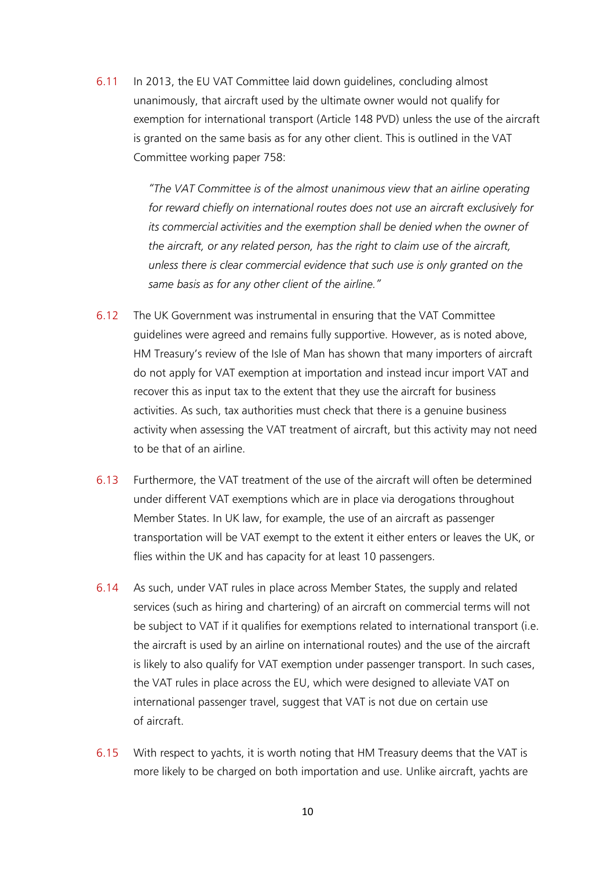6.11 In 2013, the EU VAT Committee laid down guidelines, concluding almost unanimously, that aircraft used by the ultimate owner would not qualify for exemption for international transport (Article 148 PVD) unless the use of the aircraft is granted on the same basis as for any other client. This is outlined in the VAT Committee working paper 758:

> *"The VAT Committee is of the almost unanimous view that an airline operating for reward chiefly on international routes does not use an aircraft exclusively for its commercial activities and the exemption shall be denied when the owner of the aircraft, or any related person, has the right to claim use of the aircraft, unless there is clear commercial evidence that such use is only granted on the same basis as for any other client of the airline."*

- 6.12 The UK Government was instrumental in ensuring that the VAT Committee guidelines were agreed and remains fully supportive. However, as is noted above, HM Treasury's review of the Isle of Man has shown that many importers of aircraft do not apply for VAT exemption at importation and instead incur import VAT and recover this as input tax to the extent that they use the aircraft for business activities. As such, tax authorities must check that there is a genuine business activity when assessing the VAT treatment of aircraft, but this activity may not need to be that of an airline.
- 6.13 Furthermore, the VAT treatment of the use of the aircraft will often be determined under different VAT exemptions which are in place via derogations throughout Member States. In UK law, for example, the use of an aircraft as passenger transportation will be VAT exempt to the extent it either enters or leaves the UK, or flies within the UK and has capacity for at least 10 passengers.
- 6.14 As such, under VAT rules in place across Member States, the supply and related services (such as hiring and chartering) of an aircraft on commercial terms will not be subject to VAT if it qualifies for exemptions related to international transport (i.e. the aircraft is used by an airline on international routes) and the use of the aircraft is likely to also qualify for VAT exemption under passenger transport. In such cases, the VAT rules in place across the EU, which were designed to alleviate VAT on international passenger travel, suggest that VAT is not due on certain use of aircraft.
- 6.15 With respect to yachts, it is worth noting that HM Treasury deems that the VAT is more likely to be charged on both importation and use. Unlike aircraft, yachts are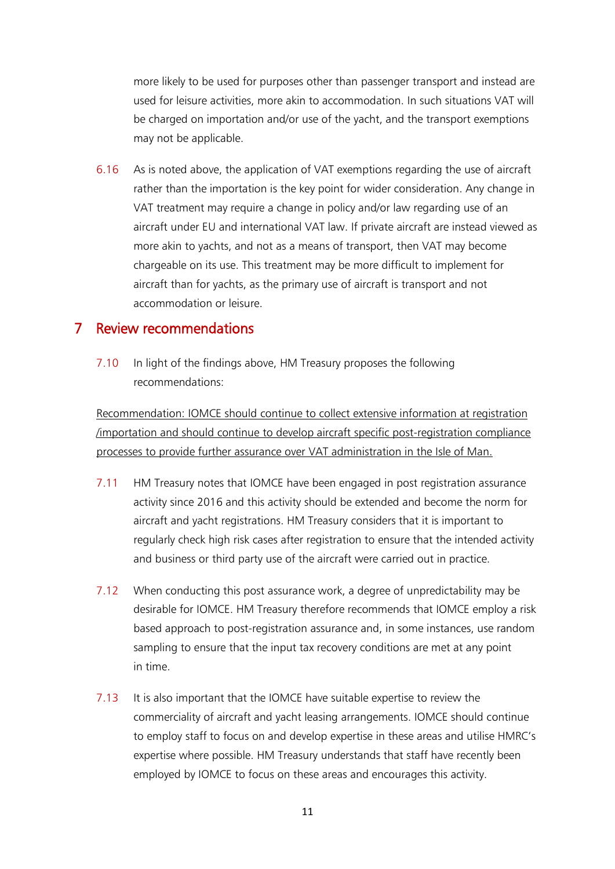more likely to be used for purposes other than passenger transport and instead are used for leisure activities, more akin to accommodation. In such situations VAT will be charged on importation and/or use of the yacht, and the transport exemptions may not be applicable.

6.16 As is noted above, the application of VAT exemptions regarding the use of aircraft rather than the importation is the key point for wider consideration. Any change in VAT treatment may require a change in policy and/or law regarding use of an aircraft under EU and international VAT law. If private aircraft are instead viewed as more akin to yachts, and not as a means of transport, then VAT may become chargeable on its use. This treatment may be more difficult to implement for aircraft than for yachts, as the primary use of aircraft is transport and not accommodation or leisure.

### 7 Review recommendations

7.10 In light of the findings above, HM Treasury proposes the following recommendations:

Recommendation: IOMCE should continue to collect extensive information at registration /importation and should continue to develop aircraft specific post-registration compliance processes to provide further assurance over VAT administration in the Isle of Man.

- 7.11 HM Treasury notes that IOMCE have been engaged in post registration assurance activity since 2016 and this activity should be extended and become the norm for aircraft and yacht registrations. HM Treasury considers that it is important to regularly check high risk cases after registration to ensure that the intended activity and business or third party use of the aircraft were carried out in practice.
- 7.12 When conducting this post assurance work, a degree of unpredictability may be desirable for IOMCE. HM Treasury therefore recommends that IOMCE employ a risk based approach to post-registration assurance and, in some instances, use random sampling to ensure that the input tax recovery conditions are met at any point in time.
- 7.13 It is also important that the IOMCE have suitable expertise to review the commerciality of aircraft and yacht leasing arrangements. IOMCE should continue to employ staff to focus on and develop expertise in these areas and utilise HMRC's expertise where possible. HM Treasury understands that staff have recently been employed by IOMCE to focus on these areas and encourages this activity.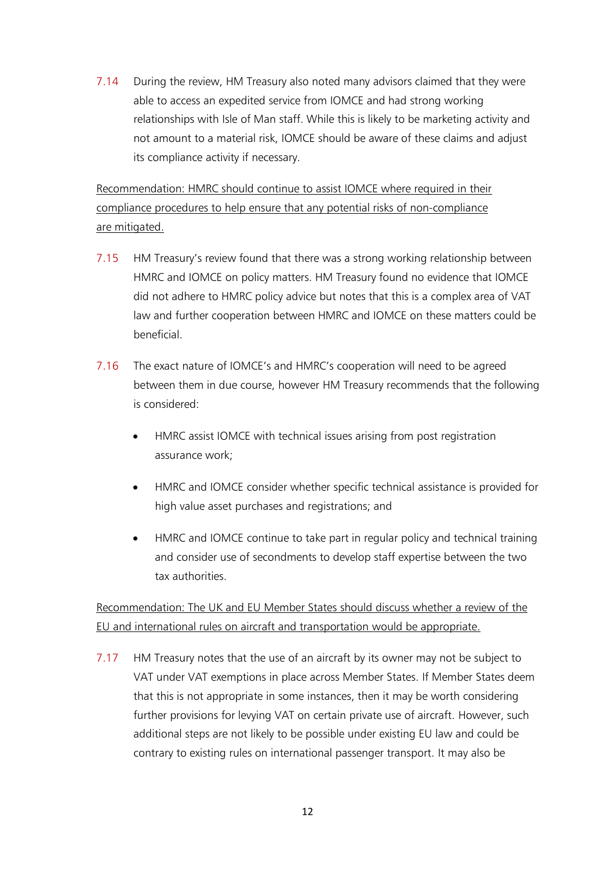7.14 During the review, HM Treasury also noted many advisors claimed that they were able to access an expedited service from IOMCE and had strong working relationships with Isle of Man staff. While this is likely to be marketing activity and not amount to a material risk, IOMCE should be aware of these claims and adjust its compliance activity if necessary.

Recommendation: HMRC should continue to assist IOMCE where required in their compliance procedures to help ensure that any potential risks of non-compliance are mitigated.

- 7.15 HM Treasury's review found that there was a strong working relationship between HMRC and IOMCE on policy matters. HM Treasury found no evidence that IOMCE did not adhere to HMRC policy advice but notes that this is a complex area of VAT law and further cooperation between HMRC and IOMCE on these matters could be beneficial.
- 7.16 The exact nature of IOMCE's and HMRC's cooperation will need to be agreed between them in due course, however HM Treasury recommends that the following is considered:
	- HMRC assist IOMCE with technical issues arising from post registration assurance work;
	- HMRC and IOMCE consider whether specific technical assistance is provided for high value asset purchases and registrations; and
	- HMRC and IOMCE continue to take part in regular policy and technical training and consider use of secondments to develop staff expertise between the two tax authorities.

Recommendation: The UK and EU Member States should discuss whether a review of the EU and international rules on aircraft and transportation would be appropriate.

7.17 HM Treasury notes that the use of an aircraft by its owner may not be subject to VAT under VAT exemptions in place across Member States. If Member States deem that this is not appropriate in some instances, then it may be worth considering further provisions for levying VAT on certain private use of aircraft. However, such additional steps are not likely to be possible under existing EU law and could be contrary to existing rules on international passenger transport. It may also be